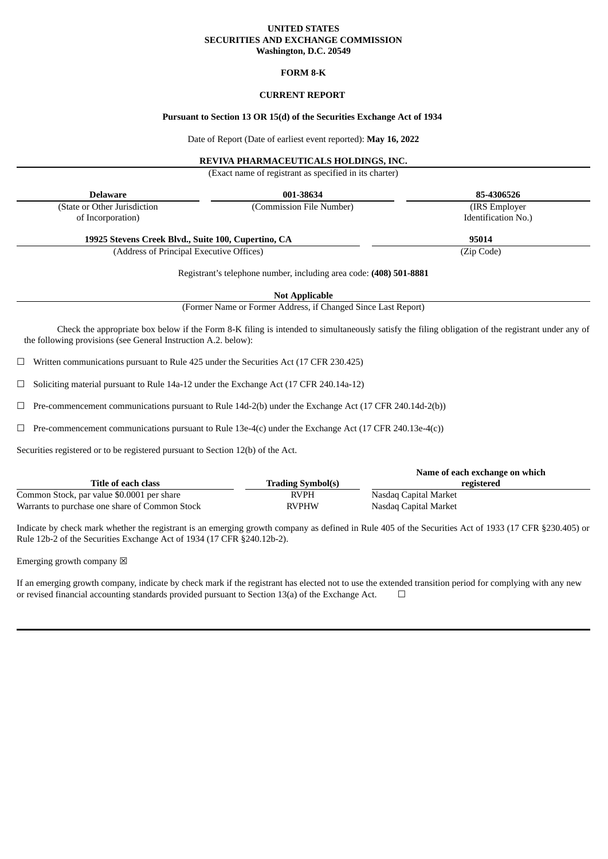### **UNITED STATES SECURITIES AND EXCHANGE COMMISSION Washington, D.C. 20549**

## **FORM 8-K**

### **CURRENT REPORT**

#### **Pursuant to Section 13 OR 15(d) of the Securities Exchange Act of 1934**

Date of Report (Date of earliest event reported): **May 16, 2022**

# **REVIVA PHARMACEUTICALS HOLDINGS, INC.**

(Exact name of registrant as specified in its charter)

**Delaware 001-38634 85-4306526** (State or Other Jurisdiction of Incorporation) (Commission File Number) (IRS Employer Identification No.) **19925 Stevens Creek Blvd., Suite 100, Cupertino, CA 95014** (Address of Principal Executive Offices) (Zip Code)

Registrant's telephone number, including area code: **(408) 501-8881**

**Not Applicable**

(Former Name or Former Address, if Changed Since Last Report)

Check the appropriate box below if the Form 8-K filing is intended to simultaneously satisfy the filing obligation of the registrant under any of the following provisions (see General Instruction A.2. below):

☐ Written communications pursuant to Rule 425 under the Securities Act (17 CFR 230.425)

☐ Soliciting material pursuant to Rule 14a-12 under the Exchange Act (17 CFR 240.14a-12)

 $\Box$  Pre-commencement communications pursuant to Rule 14d-2(b) under the Exchange Act (17 CFR 240.14d-2(b))

 $\Box$  Pre-commencement communications pursuant to Rule 13e-4(c) under the Exchange Act (17 CFR 240.13e-4(c))

Securities registered or to be registered pursuant to Section 12(b) of the Act.

|                                                |                          | Name of each exchange on which |  |  |  |  |
|------------------------------------------------|--------------------------|--------------------------------|--|--|--|--|
| Title of each class                            | <b>Trading Symbol(s)</b> | registered                     |  |  |  |  |
| Common Stock, par value \$0.0001 per share     | <b>RVPH</b>              | Nasdag Capital Market          |  |  |  |  |
| Warrants to purchase one share of Common Stock | <b>RVPHW</b>             | Nasdag Capital Market          |  |  |  |  |

Indicate by check mark whether the registrant is an emerging growth company as defined in Rule 405 of the Securities Act of 1933 (17 CFR §230.405) or Rule 12b-2 of the Securities Exchange Act of 1934 (17 CFR §240.12b-2).

Emerging growth company  $\boxtimes$ 

If an emerging growth company, indicate by check mark if the registrant has elected not to use the extended transition period for complying with any new or revised financial accounting standards provided pursuant to Section 13(a) of the Exchange Act.  $\Box$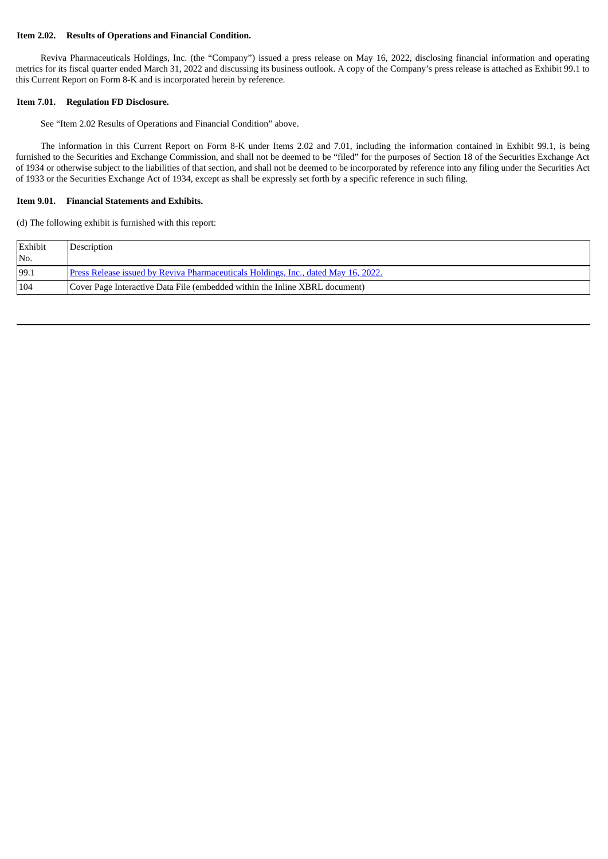### **Item 2.02. Results of Operations and Financial Condition.**

Reviva Pharmaceuticals Holdings, Inc. (the "Company") issued a press release on May 16, 2022, disclosing financial information and operating metrics for its fiscal quarter ended March 31, 2022 and discussing its business outlook. A copy of the Company's press release is attached as Exhibit 99.1 to this Current Report on Form 8-K and is incorporated herein by reference.

### **Item 7.01. Regulation FD Disclosure.**

See "Item 2.02 Results of Operations and Financial Condition" above.

The information in this Current Report on Form 8-K under Items 2.02 and 7.01, including the information contained in Exhibit 99.1, is being furnished to the Securities and Exchange Commission, and shall not be deemed to be "filed" for the purposes of Section 18 of the Securities Exchange Act of 1934 or otherwise subject to the liabilities of that section, and shall not be deemed to be incorporated by reference into any filing under the Securities Act of 1933 or the Securities Exchange Act of 1934, except as shall be expressly set forth by a specific reference in such filing.

### **Item 9.01. Financial Statements and Exhibits.**

(d) The following exhibit is furnished with this report:

| Exhibit<br>$\vert$ No. | Description                                                                        |
|------------------------|------------------------------------------------------------------------------------|
| 99.1                   | Press Release issued by Reviva Pharmaceuticals Holdings, Inc., dated May 16, 2022. |
| 104                    | Cover Page Interactive Data File (embedded within the Inline XBRL document)        |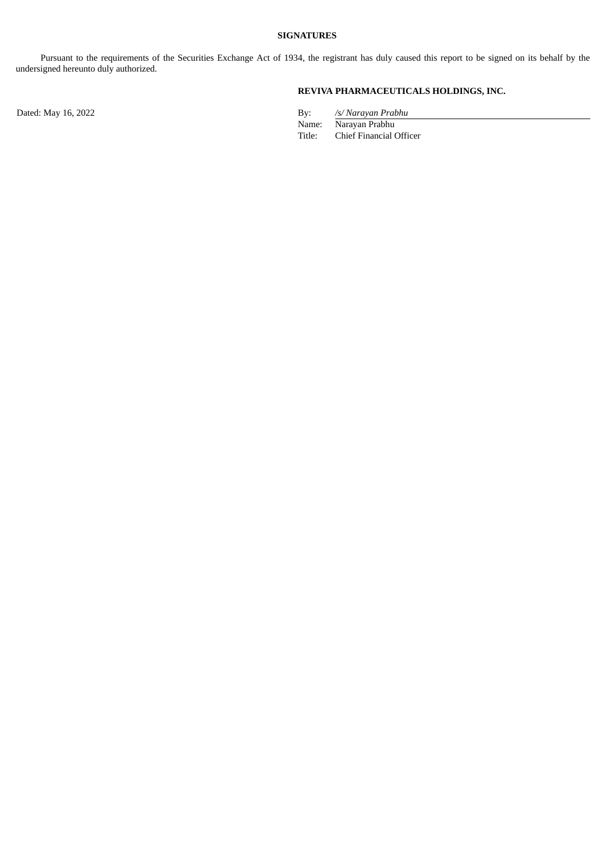## **SIGNATURES**

Pursuant to the requirements of the Securities Exchange Act of 1934, the registrant has duly caused this report to be signed on its behalf by the undersigned hereunto duly authorized.

# **REVIVA PHARMACEUTICALS HOLDINGS, INC.**

Dated: May 16, 2022 By: */s/ Narayan Prabhu*

Name: Title: Narayan Prabhu Chief Financial Officer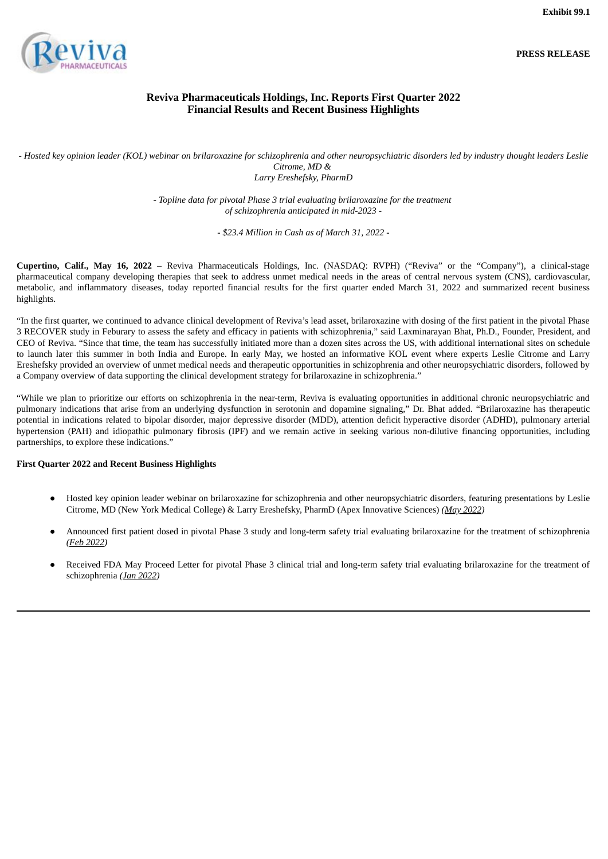<span id="page-3-0"></span>

# **Reviva Pharmaceuticals Holdings, Inc. Reports First Quarter 2022 Financial Results and Recent Business Highlights**

- Hosted key opinion leader (KOL) webinar on brilaroxazine for schizophrenia and other neuropsychiatric disorders led by industry thought leaders Leslie *Citrome, MD & Larry Ereshefsky, PharmD*

> *- Topline data for pivotal Phase 3 trial evaluating brilaroxazine for the treatment of schizophrenia anticipated in mid-2023 -*

> > *- \$23.4 Million in Cash as of March 31, 2022 -*

**Cupertino, Calif., May 16, 2022** – Reviva Pharmaceuticals Holdings, Inc. (NASDAQ: RVPH) ("Reviva" or the "Company"), a clinical-stage pharmaceutical company developing therapies that seek to address unmet medical needs in the areas of central nervous system (CNS), cardiovascular, metabolic, and inflammatory diseases, today reported financial results for the first quarter ended March 31, 2022 and summarized recent business highlights.

"In the first quarter, we continued to advance clinical development of Reviva's lead asset, brilaroxazine with dosing of the first patient in the pivotal Phase 3 RECOVER study in Feburary to assess the safety and efficacy in patients with schizophrenia," said Laxminarayan Bhat, Ph.D., Founder, President, and CEO of Reviva. "Since that time, the team has successfully initiated more than a dozen sites across the US, with additional international sites on schedule to launch later this summer in both India and Europe. In early May, we hosted an informative KOL event where experts Leslie Citrome and Larry Ereshefsky provided an overview of unmet medical needs and therapeutic opportunities in schizophrenia and other neuropsychiatric disorders, followed by a Company overview of data supporting the clinical development strategy for brilaroxazine in schizophrenia."

"While we plan to prioritize our efforts on schizophrenia in the near-term, Reviva is evaluating opportunities in additional chronic neuropsychiatric and pulmonary indications that arise from an underlying dysfunction in serotonin and dopamine signaling," Dr. Bhat added. "Brilaroxazine has therapeutic potential in indications related to bipolar disorder, major depressive disorder (MDD), attention deficit hyperactive disorder (ADHD), pulmonary arterial hypertension (PAH) and idiopathic pulmonary fibrosis (IPF) and we remain active in seeking various non-dilutive financing opportunities, including partnerships, to explore these indications."

### **First Quarter 2022 and Recent Business Highlights**

- Hosted key opinion leader webinar on brilaroxazine for schizophrenia and other neuropsychiatric disorders, featuring presentations by Leslie Citrome, MD (New York Medical College) & Larry Ereshefsky, PharmD (Apex Innovative Sciences) *(May 2022)*
- Announced first patient dosed in pivotal Phase 3 study and long-term safety trial evaluating brilaroxazine for the treatment of schizophrenia *(Feb 2022)*
- Received FDA May Proceed Letter for pivotal Phase 3 clinical trial and long-term safety trial evaluating brilaroxazine for the treatment of schizophrenia *(Jan 2022)*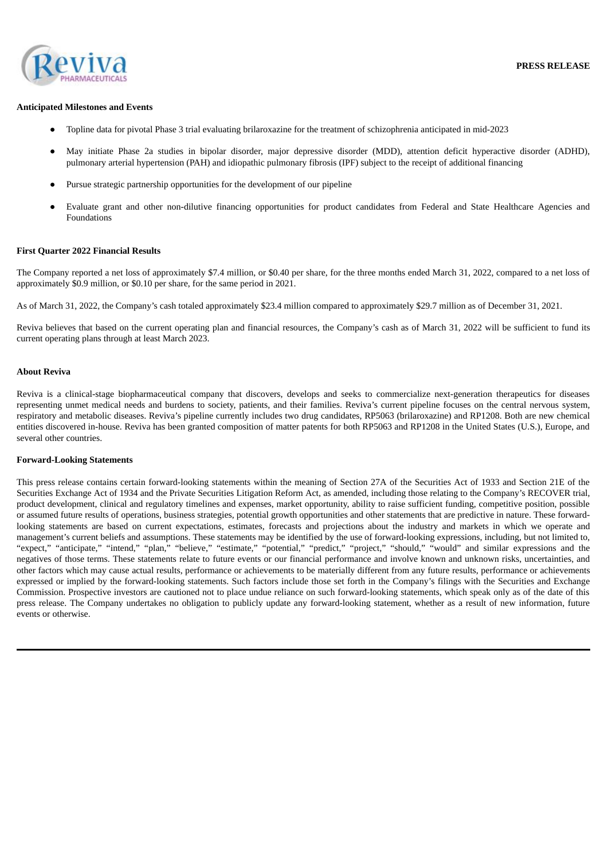

### **Anticipated Milestones and Events**

- Topline data for pivotal Phase 3 trial evaluating brilaroxazine for the treatment of schizophrenia anticipated in mid-2023
- May initiate Phase 2a studies in bipolar disorder, major depressive disorder (MDD), attention deficit hyperactive disorder (ADHD), pulmonary arterial hypertension (PAH) and idiopathic pulmonary fibrosis (IPF) subject to the receipt of additional financing
- Pursue strategic partnership opportunities for the development of our pipeline
- Evaluate grant and other non-dilutive financing opportunities for product candidates from Federal and State Healthcare Agencies and Foundations

### **First Quarter 2022 Financial Results**

The Company reported a net loss of approximately \$7.4 million, or \$0.40 per share, for the three months ended March 31, 2022, compared to a net loss of approximately \$0.9 million, or \$0.10 per share, for the same period in 2021.

As of March 31, 2022, the Company's cash totaled approximately \$23.4 million compared to approximately \$29.7 million as of December 31, 2021.

Reviva believes that based on the current operating plan and financial resources, the Company's cash as of March 31, 2022 will be sufficient to fund its current operating plans through at least March 2023.

### **About Reviva**

Reviva is a clinical-stage biopharmaceutical company that discovers, develops and seeks to commercialize next-generation therapeutics for diseases representing unmet medical needs and burdens to society, patients, and their families. Reviva's current pipeline focuses on the central nervous system, respiratory and metabolic diseases. Reviva's pipeline currently includes two drug candidates, RP5063 (brilaroxazine) and RP1208. Both are new chemical entities discovered in-house. Reviva has been granted composition of matter patents for both RP5063 and RP1208 in the United States (U.S.), Europe, and several other countries.

#### **Forward-Looking Statements**

This press release contains certain forward-looking statements within the meaning of Section 27A of the Securities Act of 1933 and Section 21E of the Securities Exchange Act of 1934 and the Private Securities Litigation Reform Act, as amended, including those relating to the Company's RECOVER trial, product development, clinical and regulatory timelines and expenses, market opportunity, ability to raise sufficient funding, competitive position, possible or assumed future results of operations, business strategies, potential growth opportunities and other statements that are predictive in nature. These forwardlooking statements are based on current expectations, estimates, forecasts and projections about the industry and markets in which we operate and management's current beliefs and assumptions. These statements may be identified by the use of forward-looking expressions, including, but not limited to, "expect," "anticipate," "intend," "plan," "believe," "estimate," "potential," "predict," "project," "should," "would" and similar expressions and the negatives of those terms. These statements relate to future events or our financial performance and involve known and unknown risks, uncertainties, and other factors which may cause actual results, performance or achievements to be materially different from any future results, performance or achievements expressed or implied by the forward-looking statements. Such factors include those set forth in the Company's filings with the Securities and Exchange Commission. Prospective investors are cautioned not to place undue reliance on such forward-looking statements, which speak only as of the date of this press release. The Company undertakes no obligation to publicly update any forward-looking statement, whether as a result of new information, future events or otherwise.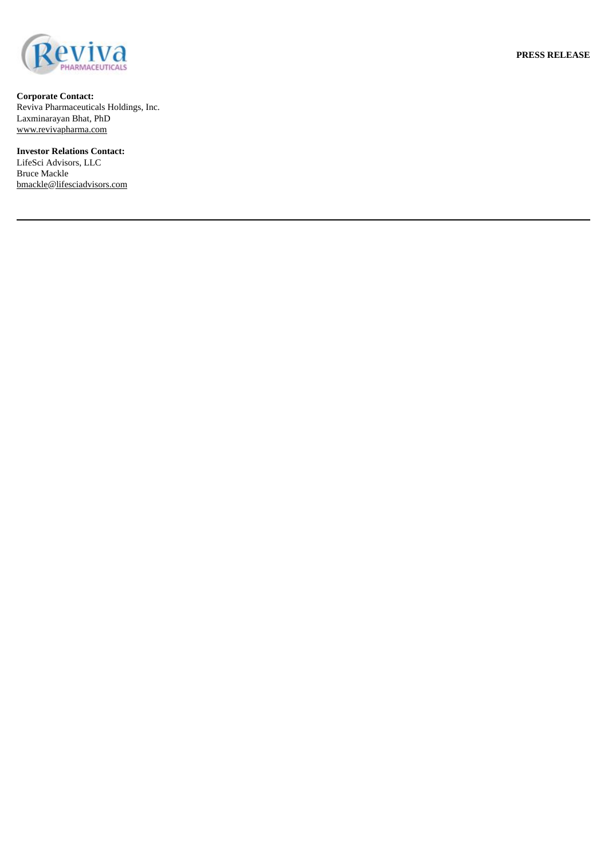

**Corporate Contact:** Reviva Pharmaceuticals Holdings, Inc. Laxminarayan Bhat, PhD www.revivapharma.com

**Investor Relations Contact:** LifeSci Advisors, LLC Bruce Mackle bmackle@lifesciadvisors.com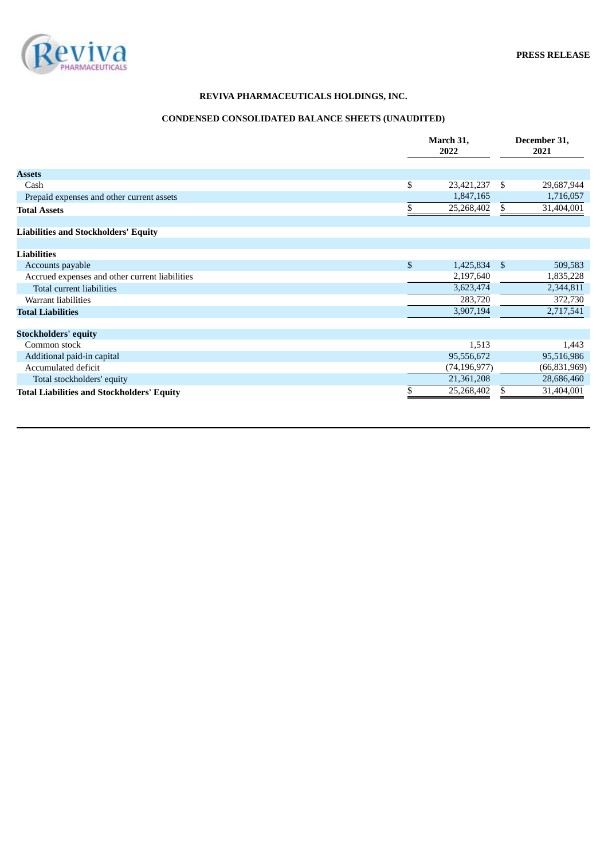

# **REVIVA PHARMACEUTICALS HOLDINGS, INC.**

# **CONDENSED CONSOLIDATED BALANCE SHEETS (UNAUDITED)**

|                                                   |                | March 31,<br>2022 |    | December 31,<br>2021 |  |
|---------------------------------------------------|----------------|-------------------|----|----------------------|--|
| <b>Assets</b>                                     |                |                   |    |                      |  |
| Cash                                              | \$             | 23,421,237        | \$ | 29,687,944           |  |
| Prepaid expenses and other current assets         |                | 1,847,165         |    | 1,716,057            |  |
| <b>Total Assets</b>                               | S.             | 25,268,402        | \$ | 31,404,001           |  |
| <b>Liabilities and Stockholders' Equity</b>       |                |                   |    |                      |  |
| <b>Liabilities</b>                                |                |                   |    |                      |  |
| Accounts payable                                  | $\mathfrak{s}$ | 1,425,834         | -S | 509,583              |  |
| Accrued expenses and other current liabilities    |                | 2,197,640         |    | 1,835,228            |  |
| <b>Total current liabilities</b>                  |                | 3,623,474         |    | 2,344,811            |  |
| Warrant liabilities                               |                | 283,720           |    | 372,730              |  |
| <b>Total Liabilities</b>                          |                | 3,907,194         |    | 2,717,541            |  |
| <b>Stockholders' equity</b>                       |                |                   |    |                      |  |
| Common stock                                      |                | 1,513             |    | 1,443                |  |
| Additional paid-in capital                        |                | 95,556,672        |    | 95,516,986           |  |
| Accumulated deficit                               |                | (74, 196, 977)    |    | (66,831,969)         |  |
| Total stockholders' equity                        |                | 21,361,208        |    | 28,686,460           |  |
| <b>Total Liabilities and Stockholders' Equity</b> |                | 25,268,402        | \$ | 31,404,001           |  |